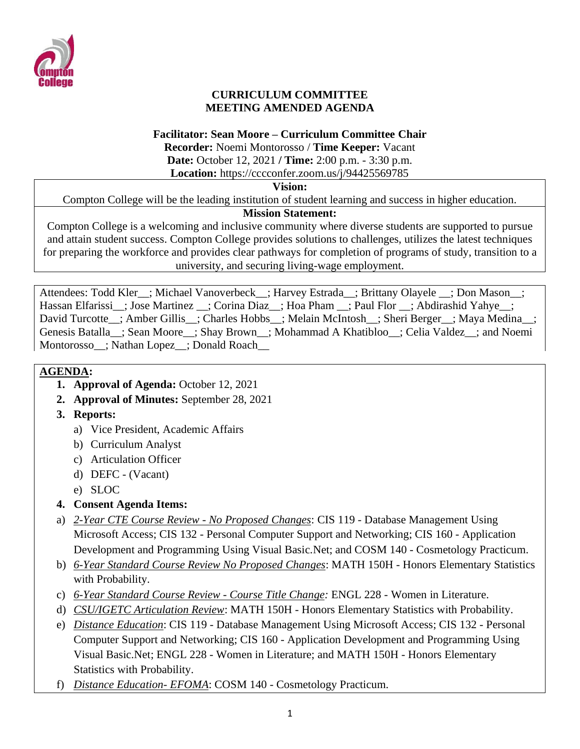

## **CURRICULUM COMMITTEE MEETING AMENDED AGENDA**

### **Facilitator: Sean Moore – Curriculum Committee Chair**

**Recorder:** Noemi Montorosso / **Time Keeper:** Vacant **Date:** October 12, 2021 **/ Time:** 2:00 p.m. - 3:30 p.m. **Location:** https://cccconfer.zoom.us/j/94425569785

#### **Vision:**

Compton College will be the leading institution of student learning and success in higher education.

## **Mission Statement:**

Compton College is a welcoming and inclusive community where diverse students are supported to pursue and attain student success. Compton College provides solutions to challenges, utilizes the latest techniques for preparing the workforce and provides clear pathways for completion of programs of study, transition to a university, and securing living-wage employment.

Attendees: Todd Kler ; Michael Vanoverbeck ; Harvey Estrada ; Brittany Olayele ; Don Mason ; Hassan Elfarissi\_\_; Jose Martinez \_\_; Corina Diaz\_\_; Hoa Pham \_\_; Paul Flor \_\_; Abdirashid Yahye\_\_; David Turcotte\_; Amber Gillis\_; Charles Hobbs\_; Melain McIntosh\_; Sheri Berger\_; Maya Medina\_; Genesis Batalla\_\_; Sean Moore\_\_; Shay Brown\_\_; Mohammad A Khatibloo\_\_; Celia Valdez\_\_; and Noemi Montorosso\_\_; Nathan Lopez\_\_; Donald Roach\_\_

# **AGENDA:**

- **1. Approval of Agenda:** October 12, 2021
- **2. Approval of Minutes:** September 28, 2021
- **3. Reports:** 
	- a) Vice President, Academic Affairs
	- b) Curriculum Analyst
	- c) Articulation Officer
	- d) DEFC (Vacant)
	- e) SLOC
- **4. Consent Agenda Items:**
- a) *2-Year CTE Course Review - No Proposed Changes*: CIS 119 Database Management Using Microsoft Access; CIS 132 - Personal Computer Support and Networking; CIS 160 - Application Development and Programming Using Visual Basic.Net; and COSM 140 - Cosmetology Practicum.
- b) *6-Year Standard Course Review No Proposed Changes*: MATH 150H Honors Elementary Statistics with Probability.
- c) *6-Year Standard Course Review - Course Title Change:* ENGL 228 Women in Literature.
- d) *CSU/IGETC Articulation Review*: MATH 150H Honors Elementary Statistics with Probability.
- e) *Distance Education*: CIS 119 Database Management Using Microsoft Access; CIS 132 Personal Computer Support and Networking; CIS 160 - Application Development and Programming Using Visual Basic.Net; ENGL 228 - Women in Literature; and MATH 150H - Honors Elementary Statistics with Probability.
- f) *Distance Education- EFOMA*: COSM 140 Cosmetology Practicum.